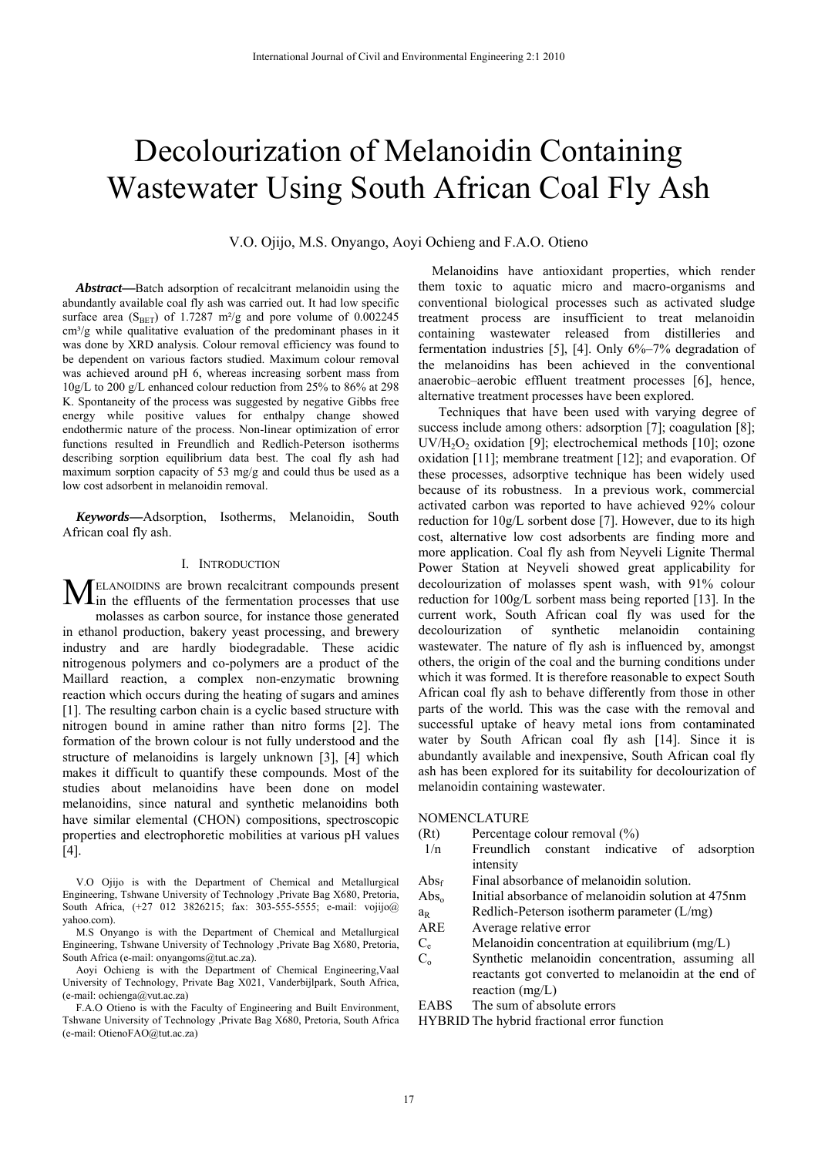# Decolourization of Melanoidin Containing Wastewater Using South African Coal Fly Ash

V.O. Ojijo, M.S. Onyango, Aoyi Ochieng and F.A.O. Otieno

*Abstract***—**Batch adsorption of recalcitrant melanoidin using the abundantly available coal fly ash was carried out. It had low specific surface area (S<sub>BET</sub>) of 1.7287 m<sup>2</sup>/g and pore volume of 0.002245  $\text{cm}^3/\text{g}$  while qualitative evaluation of the predominant phases in it was done by XRD analysis. Colour removal efficiency was found to be dependent on various factors studied. Maximum colour removal was achieved around pH 6, whereas increasing sorbent mass from 10g/L to 200 g/L enhanced colour reduction from 25% to 86% at 298 K. Spontaneity of the process was suggested by negative Gibbs free energy while positive values for enthalpy change showed endothermic nature of the process. Non-linear optimization of error functions resulted in Freundlich and Redlich-Peterson isotherms describing sorption equilibrium data best. The coal fly ash had maximum sorption capacity of 53 mg/g and could thus be used as a low cost adsorbent in melanoidin removal.

*Keywords***—**Adsorption, Isotherms, Melanoidin, South African coal fly ash.

## I. INTRODUCTION

ELANOIDINS are brown recalcitrant compounds present **MELANOIDINS** are brown recalcitrant compounds present in the effluents of the fermentation processes that use molasses as carbon source, for instance those generated in ethanol production, bakery yeast processing, and brewery industry and are hardly biodegradable. These acidic nitrogenous polymers and co-polymers are a product of the Maillard reaction, a complex non-enzymatic browning reaction which occurs during the heating of sugars and amines [1]. The resulting carbon chain is a cyclic based structure with nitrogen bound in amine rather than nitro forms [2]. The formation of the brown colour is not fully understood and the structure of melanoidins is largely unknown [3], [4] which makes it difficult to quantify these compounds. Most of the studies about melanoidins have been done on model melanoidins, since natural and synthetic melanoidins both have similar elemental (CHON) compositions, spectroscopic properties and electrophoretic mobilities at various pH values [4].

V.O Ojijo is with the Department of Chemical and Metallurgical Engineering, Tshwane University of Technology ,Private Bag X680, Pretoria, South Africa, (+27 012 3826215; fax: 303-555-5555; e-mail: vojijo@ yahoo.com).

M.S Onyango is with the Department of Chemical and Metallurgical Engineering, Tshwane University of Technology ,Private Bag X680, Pretoria, South Africa (e-mail: onyangoms@tut.ac.za).

Aoyi Ochieng is with the Department of Chemical Engineering,Vaal University of Technology, Private Bag X021, Vanderbijlpark, South Africa, (e-mail: ochienga@vut.ac.za)

F.A.O Otieno is with the Faculty of Engineering and Built Environment, Tshwane University of Technology ,Private Bag X680, Pretoria, South Africa (e-mail: OtienoFAO@tut.ac.za)

Melanoidins have antioxidant properties, which render them toxic to aquatic micro and macro-organisms and conventional biological processes such as activated sludge treatment process are insufficient to treat melanoidin containing wastewater released from distilleries and fermentation industries [5], [4]. Only 6%–7% degradation of the melanoidins has been achieved in the conventional anaerobic–aerobic effluent treatment processes [6], hence, alternative treatment processes have been explored.

 Techniques that have been used with varying degree of success include among others: adsorption [7]; coagulation [8]; UV/H<sub>2</sub>O<sub>2</sub> oxidation [9]; electrochemical methods [10]; ozone oxidation [11]; membrane treatment [12]; and evaporation. Of these processes, adsorptive technique has been widely used because of its robustness. In a previous work, commercial activated carbon was reported to have achieved 92% colour reduction for 10g/L sorbent dose [7]. However, due to its high cost, alternative low cost adsorbents are finding more and more application. Coal fly ash from Neyveli Lignite Thermal Power Station at Neyveli showed great applicability for decolourization of molasses spent wash, with 91% colour reduction for 100g/L sorbent mass being reported [13]. In the current work, South African coal fly was used for the decolourization of synthetic melanoidin containing wastewater. The nature of fly ash is influenced by, amongst others, the origin of the coal and the burning conditions under which it was formed. It is therefore reasonable to expect South African coal fly ash to behave differently from those in other parts of the world. This was the case with the removal and successful uptake of heavy metal ions from contaminated water by South African coal fly ash [14]. Since it is abundantly available and inexpensive, South African coal fly ash has been explored for its suitability for decolourization of melanoidin containing wastewater.

## NOMENCLATURE

- (Rt) Percentage colour removal (%)
- 1/n Freundlich constant indicative of adsorption intensity
- $\rm{Abs}_{f}$  Final absorbance of melanoidin solution.
- Abs<sub>o</sub> Initial absorbance of melanoidin solution at 475nm
- $a_R$  Redlich-Peterson isotherm parameter (L/mg)
- ARE Average relative error
- $C_e$  Melanoidin concentration at equilibrium (mg/L)<br>  $C_o$  Synthetic melanoidin concentration, assuming
- Synthetic melanoidin concentration, assuming all reactants got converted to melanoidin at the end of reaction (mg/L)
- EABS The sum of absolute errors

HYBRID The hybrid fractional error function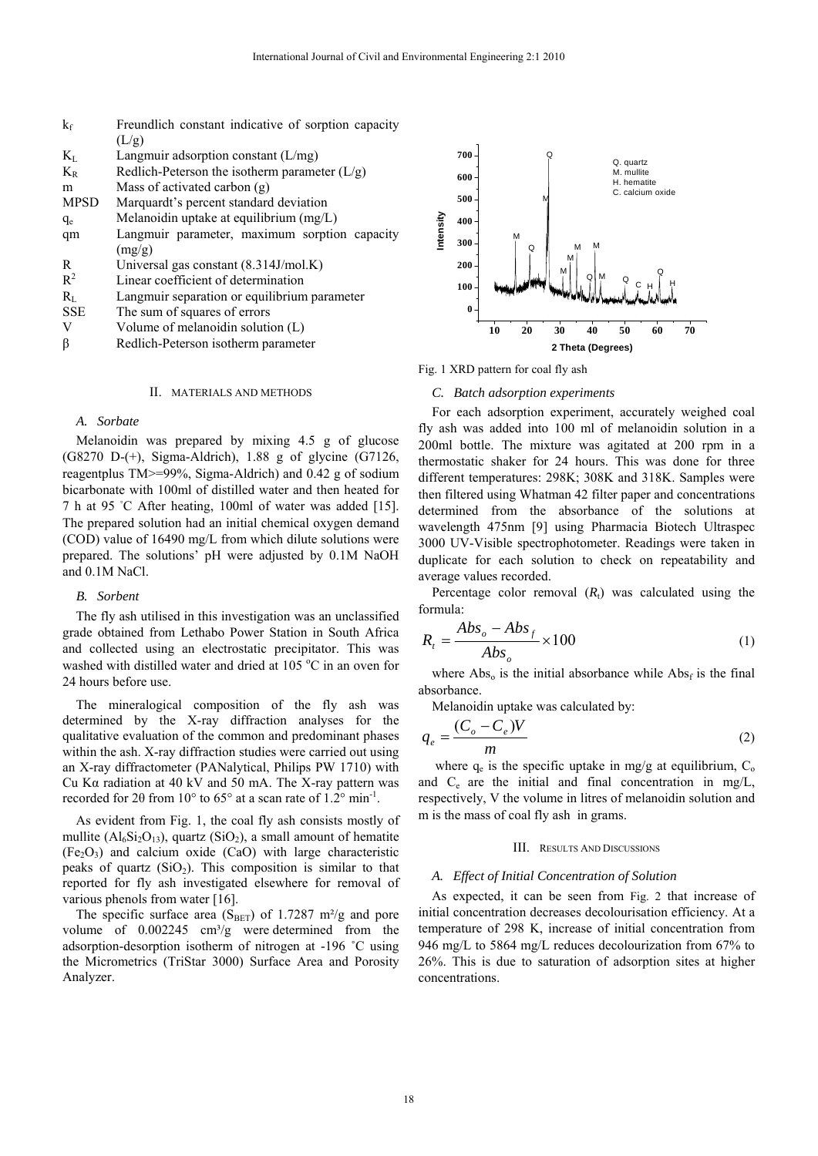| $k_{\rm f}$ | Freundlich constant indicative of sorption capacity |  |  |  |  |  |
|-------------|-----------------------------------------------------|--|--|--|--|--|
|             | (L/g)                                               |  |  |  |  |  |
| $K_{L}$     | Langmuir adsorption constant $(L/mg)$               |  |  |  |  |  |
| $K_{R}$     | Redlich-Peterson the isotherm parameter $(L/g)$     |  |  |  |  |  |
| m           | Mass of activated carbon $(g)$                      |  |  |  |  |  |
| <b>MPSD</b> | Marquardt's percent standard deviation              |  |  |  |  |  |
| $q_e$       | Melanoidin uptake at equilibrium (mg/L)             |  |  |  |  |  |
| qm          | Langmuir parameter, maximum sorption capacity       |  |  |  |  |  |
|             | (mg/g)                                              |  |  |  |  |  |
| R           | Universal gas constant $(8.314J/mol.K)$             |  |  |  |  |  |
| $R^2$       | Linear coefficient of determination                 |  |  |  |  |  |
| $R_{\rm I}$ | Langmuir separation or equilibrium parameter        |  |  |  |  |  |
| <b>SSE</b>  | The sum of squares of errors                        |  |  |  |  |  |
| V           | Volume of melanoidin solution (L)                   |  |  |  |  |  |
| ß           | Redlich-Peterson isotherm parameter                 |  |  |  |  |  |
|             |                                                     |  |  |  |  |  |

#### II. MATERIALS AND METHODS

## *A. Sorbate*

Melanoidin was prepared by mixing 4.5 g of glucose  $(G8270 \text{ D}-(+)$ , Sigma-Aldrich), 1.88 g of glycine  $(G7126,+)$ reagentplus TM>=99%, Sigma-Aldrich) and 0.42 g of sodium bicarbonate with 100ml of distilled water and then heated for 7 h at 95 °C After heating, 100ml of water was added [15]. The prepared solution had an initial chemical oxygen demand (COD) value of 16490 mg/L from which dilute solutions were prepared. The solutions' pH were adjusted by 0.1M NaOH and 0.1M NaCl.

## *B. Sorbent*

The fly ash utilised in this investigation was an unclassified grade obtained from Lethabo Power Station in South Africa and collected using an electrostatic precipitator. This was washed with distilled water and dried at 105 °C in an oven for 24 hours before use.

The mineralogical composition of the fly ash was determined by the X-ray diffraction analyses for the qualitative evaluation of the common and predominant phases within the ash. X-ray diffraction studies were carried out using an X-ray diffractometer (PANalytical, Philips PW 1710) with Cu Kα radiation at 40 kV and 50 mA. The X-ray pattern was recorded for 20 from 10 $\degree$  to 65 $\degree$  at a scan rate of 1.2 $\degree$  min<sup>-1</sup>.

As evident from Fig. 1, the coal fly ash consists mostly of mullite  $(AI_6Si_2O_{13})$ , quartz  $(SiO_2)$ , a small amount of hematite  $(Fe<sub>2</sub>O<sub>3</sub>)$  and calcium oxide (CaO) with large characteristic peaks of quartz  $(SiO<sub>2</sub>)$ . This composition is similar to that reported for fly ash investigated elsewhere for removal of various phenols from water [16].

The specific surface area ( $S<sub>BET</sub>$ ) of 1.7287 m<sup>2</sup>/g and pore volume of  $0.002245$  cm<sup>3</sup>/g were determined from the adsorption-desorption isotherm of nitrogen at -196 ˚C using the Micrometrics (TriStar 3000) Surface Area and Porosity Analyzer.



Fig. 1 XRD pattern for coal fly ash

#### *C. Batch adsorption experiments*

For each adsorption experiment, accurately weighed coal fly ash was added into 100 ml of melanoidin solution in a 200ml bottle. The mixture was agitated at 200 rpm in a thermostatic shaker for 24 hours. This was done for three different temperatures: 298K; 308K and 318K. Samples were then filtered using Whatman 42 filter paper and concentrations determined from the absorbance of the solutions at wavelength 475nm [9] using Pharmacia Biotech Ultraspec 3000 UV-Visible spectrophotometer. Readings were taken in duplicate for each solution to check on repeatability and average values recorded.

Percentage color removal  $(R<sub>t</sub>)$  was calculated using the formula:

$$
R_t = \frac{Abs_o - Abs_f}{Abs_o} \times 100
$$
 (1)

where  $\text{Abs}_{0}$  is the initial absorbance while  $\text{Abs}_{f}$  is the final absorbance.

Melanoidin uptake was calculated by:

$$
q_e = \frac{(C_o - C_e)V}{m} \tag{2}
$$

where  $q_e$  is the specific uptake in mg/g at equilibrium,  $C_0$ and  $C_e$  are the initial and final concentration in mg/L, respectively, V the volume in litres of melanoidin solution and m is the mass of coal fly ash in grams.

#### III. RESULTS AND DISCUSSIONS

#### *A. Effect of Initial Concentration of Solution*

As expected, it can be seen from Fig. 2 that increase of initial concentration decreases decolourisation efficiency. At a temperature of 298 K, increase of initial concentration from 946 mg/L to 5864 mg/L reduces decolourization from 67% to 26%. This is due to saturation of adsorption sites at higher concentrations.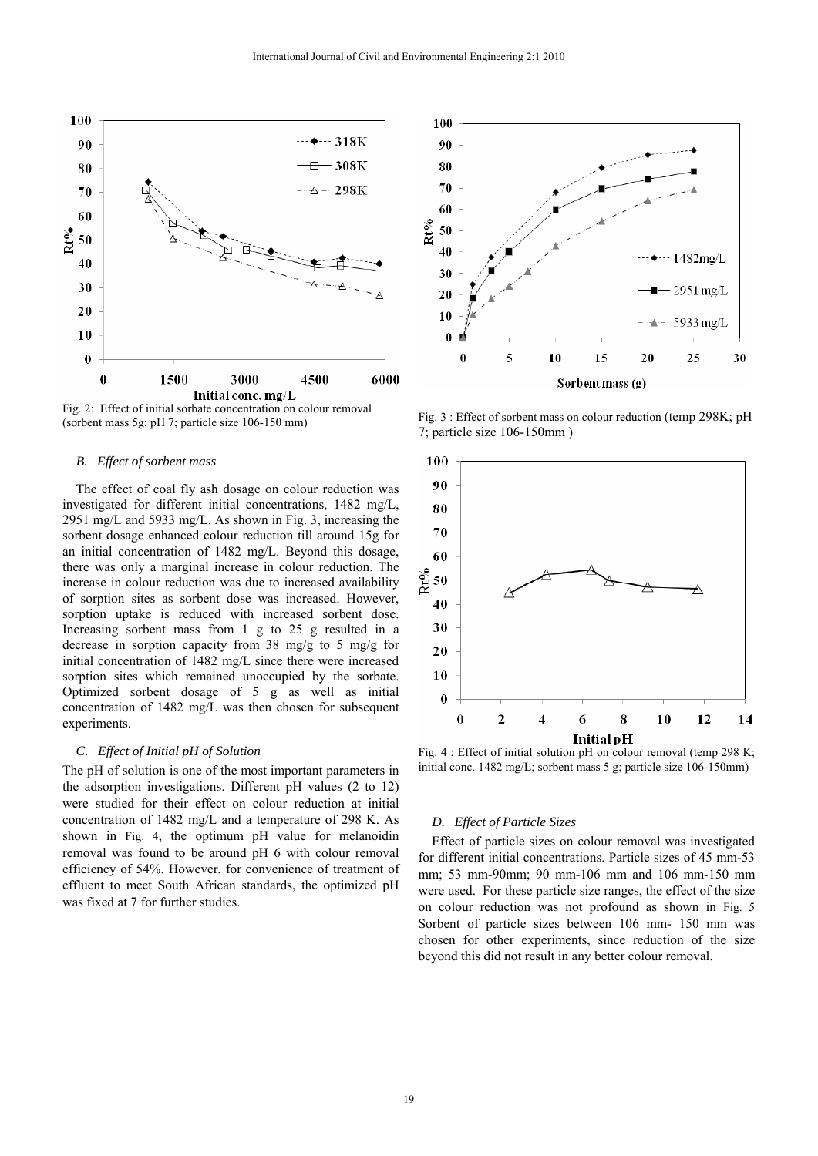

Fig. 2: Effect of initial sorbate concentration on colour removal (sorbent mass 5g; pH 7; particle size 106-150 mm)

#### *B. Effect of sorbent mass*

The effect of coal fly ash dosage on colour reduction was investigated for different initial concentrations, 1482 mg/L, 2951 mg/L and 5933 mg/L. As shown in Fig. 3, increasing the sorbent dosage enhanced colour reduction till around 15g for an initial concentration of 1482 mg/L. Beyond this dosage, there was only a marginal increase in colour reduction. The increase in colour reduction was due to increased availability of sorption sites as sorbent dose was increased. However, sorption uptake is reduced with increased sorbent dose. Increasing sorbent mass from 1 g to 25 g resulted in a decrease in sorption capacity from 38 mg/g to 5 mg/g for initial concentration of 1482 mg/L since there were increased sorption sites which remained unoccupied by the sorbate. Optimized sorbent dosage of 5 g as well as initial concentration of 1482 mg/L was then chosen for subsequent experiments.

## *C. Effect of Initial pH of Solution*

The pH of solution is one of the most important parameters in the adsorption investigations. Different pH values (2 to 12) were studied for their effect on colour reduction at initial concentration of 1482 mg/L and a temperature of 298 K. As shown in Fig. 4, the optimum pH value for melanoidin removal was found to be around pH 6 with colour removal efficiency of 54%. However, for convenience of treatment of effluent to meet South African standards, the optimized pH was fixed at 7 for further studies.



Fig. 3 : Effect of sorbent mass on colour reduction (temp 298K; pH 7; particle size 106-150mm )



Fig. 4 : Effect of initial solution pH on colour removal (temp 298 K; initial conc. 1482 mg/L; sorbent mass 5 g; particle size 106-150mm)

## *D. Effect of Particle Sizes*

Effect of particle sizes on colour removal was investigated for different initial concentrations. Particle sizes of 45 mm-53 mm; 53 mm-90mm; 90 mm-106 mm and 106 mm-150 mm were used. For these particle size ranges, the effect of the size on colour reduction was not profound as shown in Fig. 5 Sorbent of particle sizes between 106 mm- 150 mm was chosen for other experiments, since reduction of the size beyond this did not result in any better colour removal.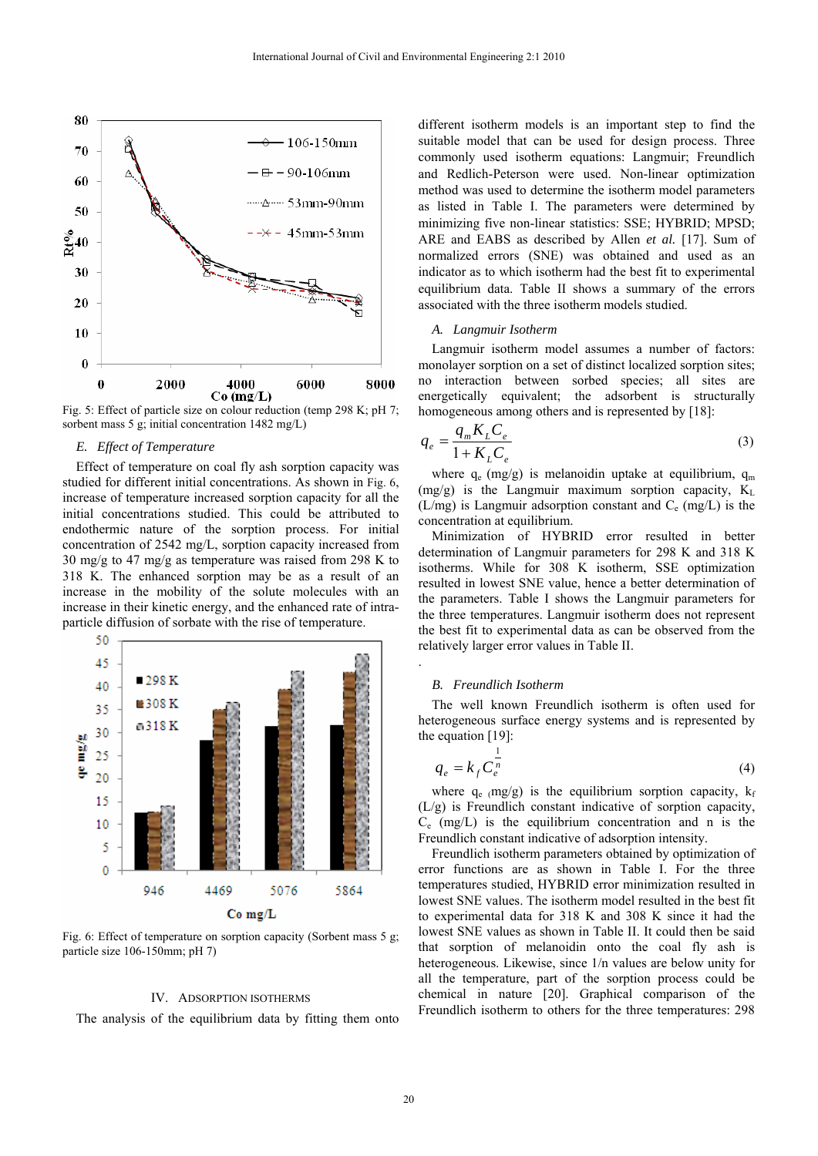

Fig. 5: Effect of particle size on colour reduction (temp 298 K; pH 7; sorbent mass 5 g; initial concentration 1482 mg/L)

## *E. Effect of Temperature*

Effect of temperature on coal fly ash sorption capacity was studied for different initial concentrations. As shown in Fig. 6, increase of temperature increased sorption capacity for all the initial concentrations studied. This could be attributed to endothermic nature of the sorption process. For initial concentration of 2542 mg/L, sorption capacity increased from 30 mg/g to 47 mg/g as temperature was raised from 298 K to 318 K. The enhanced sorption may be as a result of an increase in the mobility of the solute molecules with an increase in their kinetic energy, and the enhanced rate of intraparticle diffusion of sorbate with the rise of temperature.



Fig. 6: Effect of temperature on sorption capacity (Sorbent mass 5 g; particle size 106-150mm; pH 7)

#### IV. ADSORPTION ISOTHERMS

The analysis of the equilibrium data by fitting them onto

different isotherm models is an important step to find the suitable model that can be used for design process. Three commonly used isotherm equations: Langmuir; Freundlich and Redlich-Peterson were used. Non-linear optimization method was used to determine the isotherm model parameters as listed in Table I. The parameters were determined by minimizing five non-linear statistics: SSE; HYBRID; MPSD; ARE and EABS as described by Allen *et al.* [17]. Sum of normalized errors (SNE) was obtained and used as an indicator as to which isotherm had the best fit to experimental equilibrium data. Table II shows a summary of the errors associated with the three isotherm models studied.

## *A. Langmuir Isotherm*

Langmuir isotherm model assumes a number of factors: monolayer sorption on a set of distinct localized sorption sites; no interaction between sorbed species; all sites are energetically equivalent; the adsorbent is structurally homogeneous among others and is represented by [18]:

$$
q_e = \frac{q_m K_L C_e}{1 + K_L C_e} \tag{3}
$$

where  $q_e$  (mg/g) is melanoidin uptake at equilibrium,  $q_m$  $(mg/g)$  is the Langmuir maximum sorption capacity,  $K_L$ (L/mg) is Langmuir adsorption constant and  $C_e$  (mg/L) is the concentration at equilibrium.

 Minimization of HYBRID error resulted in better determination of Langmuir parameters for 298 K and 318 K isotherms. While for 308 K isotherm, SSE optimization resulted in lowest SNE value, hence a better determination of the parameters. Table I shows the Langmuir parameters for the three temperatures. Langmuir isotherm does not represent the best fit to experimental data as can be observed from the relatively larger error values in Table II.

## *B. Freundlich Isotherm*

.

The well known Freundlich isotherm is often used for heterogeneous surface energy systems and is represented by the equation [19]:

$$
q_e = k_f C_e^{\frac{1}{n}}
$$
 (4)

where  $q_e$  (mg/g) is the equilibrium sorption capacity,  $k_f$ (L/g) is Freundlich constant indicative of sorption capacity,  $C_e$  (mg/L) is the equilibrium concentration and n is the Freundlich constant indicative of adsorption intensity.

 Freundlich isotherm parameters obtained by optimization of error functions are as shown in Table I. For the three temperatures studied, HYBRID error minimization resulted in lowest SNE values. The isotherm model resulted in the best fit to experimental data for 318 K and 308 K since it had the lowest SNE values as shown in Table II. It could then be said that sorption of melanoidin onto the coal fly ash is heterogeneous. Likewise, since 1/n values are below unity for all the temperature, part of the sorption process could be chemical in nature [20]. Graphical comparison of the Freundlich isotherm to others for the three temperatures: 298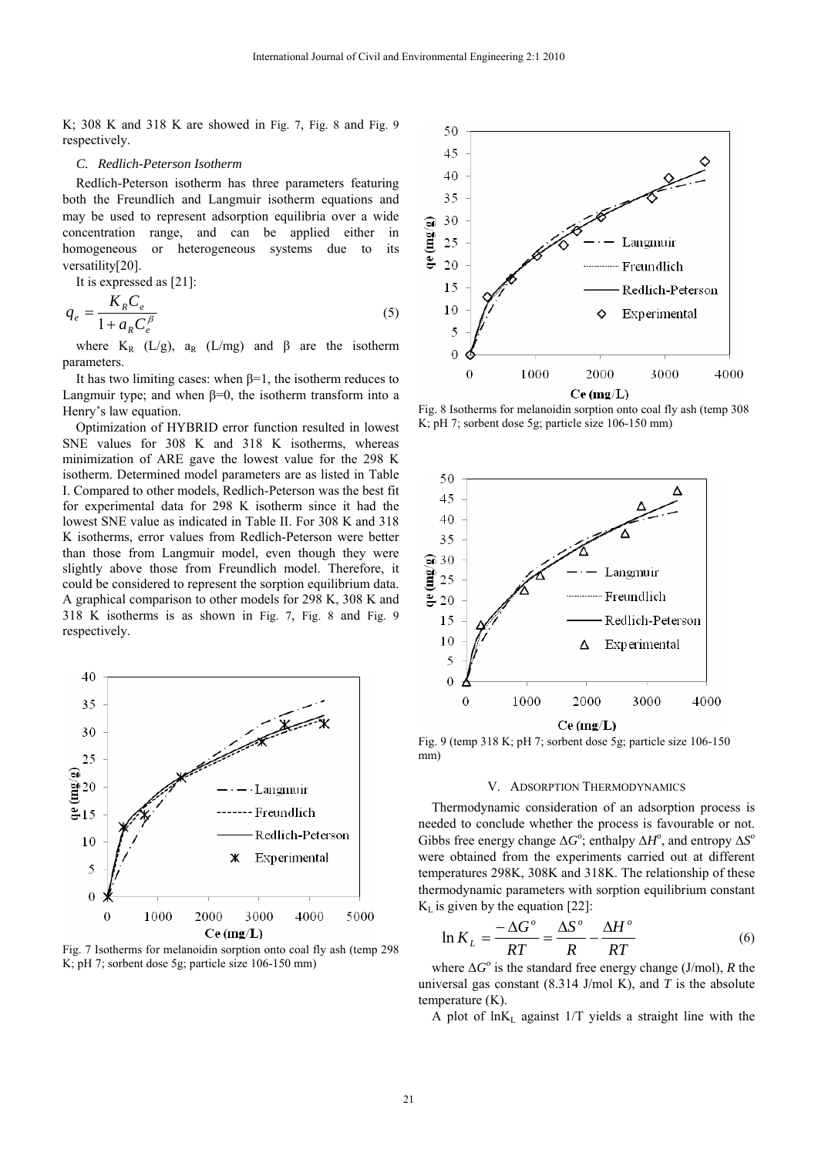K; 308 K and 318 K are showed in Fig. 7, Fig. 8 and Fig. 9 respectively.

## *C. Redlich-Peterson Isotherm*

Redlich-Peterson isotherm has three parameters featuring both the Freundlich and Langmuir isotherm equations and may be used to represent adsorption equilibria over a wide concentration range, and can be applied either in homogeneous or heterogeneous systems due to its versatility[20].

It is expressed as [21]:

$$
q_e = \frac{K_R C_e}{1 + a_R C_e^{\beta}}
$$
\n<sup>(5)</sup>

where  $K_R$  (L/g),  $a_R$  (L/mg) and  $\beta$  are the isotherm parameters.

It has two limiting cases: when  $\beta=1$ , the isotherm reduces to Langmuir type; and when  $\beta=0$ , the isotherm transform into a Henry's law equation.

Optimization of HYBRID error function resulted in lowest SNE values for 308 K and 318 K isotherms, whereas minimization of ARE gave the lowest value for the 298 K isotherm. Determined model parameters are as listed in Table I. Compared to other models, Redlich-Peterson was the best fit for experimental data for 298 K isotherm since it had the lowest SNE value as indicated in Table II. For 308 K and 318 K isotherms, error values from Redlich-Peterson were better than those from Langmuir model, even though they were slightly above those from Freundlich model. Therefore, it could be considered to represent the sorption equilibrium data. A graphical comparison to other models for 298 K, 308 K and 318 K isotherms is as shown in Fig. 7, Fig. 8 and Fig. 9 respectively.



Fig. 7 Isotherms for melanoidin sorption onto coal fly ash (temp 298 K; pH 7; sorbent dose 5g; particle size 106-150 mm)



Fig. 8 Isotherms for melanoidin sorption onto coal fly ash (temp 308 K; pH 7; sorbent dose 5g; particle size 106-150 mm)



Fig. 9 (temp 318 K; pH 7; sorbent dose 5g; particle size 106-150 mm)

#### V. ADSORPTION THERMODYNAMICS

Thermodynamic consideration of an adsorption process is needed to conclude whether the process is favourable or not. Gibbs free energy change  $\Delta G^{\circ}$ ; enthalpy  $\Delta H^{\circ}$ , and entropy  $\Delta S^{\circ}$ were obtained from the experiments carried out at different temperatures 298K, 308K and 318K. The relationship of these thermodynamic parameters with sorption equilibrium constant  $K_L$  is given by the equation [22]:

$$
\ln K_L = \frac{-\Delta G^{\circ}}{RT} = \frac{\Delta S^{\circ}}{R} - \frac{\Delta H^{\circ}}{RT}
$$
 (6)

where Δ*G*<sup>o</sup> is the standard free energy change (J/mol), *R* the universal gas constant (8.314 J/mol K), and *T* is the absolute temperature (K).

A plot of  $ln K<sub>L</sub>$  against 1/T yields a straight line with the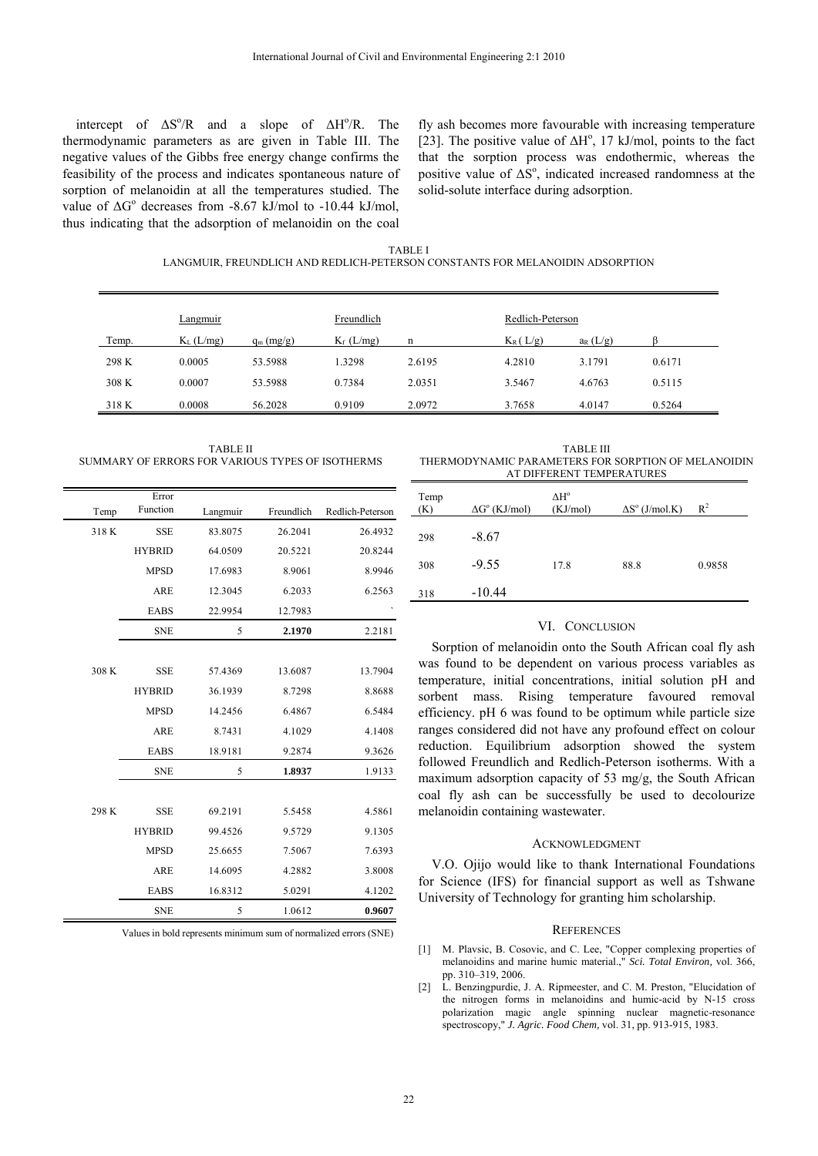intercept of  $\Delta S^0/R$  and a slope of  $\Delta H^0/R$ . The thermodynamic parameters as are given in Table III. The negative values of the Gibbs free energy change confirms the feasibility of the process and indicates spontaneous nature of sorption of melanoidin at all the temperatures studied. The value of  $\Delta G^{\circ}$  decreases from -8.67 kJ/mol to -10.44 kJ/mol, thus indicating that the adsorption of melanoidin on the coal

fly ash becomes more favourable with increasing temperature [23]. The positive value of  $\Delta H^{\circ}$ , 17 kJ/mol, points to the fact that the sorption process was endothermic, whereas the positive value of  $\Delta S^{\circ}$ , indicated increased randomness at the solid-solute interface during adsorption.

TABLE I LANGMUIR, FREUNDLICH AND REDLICH-PETERSON CONSTANTS FOR MELANOIDIN ADSORPTION

|       | Langmuir     |              | Freundlich   |        | Redlich-Peterson |            |        |
|-------|--------------|--------------|--------------|--------|------------------|------------|--------|
| Temp. | $K_L$ (L/mg) | $q_m$ (mg/g) | $K_f$ (L/mg) | n      | $K_R$ (L/g)      | $a_R(L/g)$ |        |
| 298 K | 0.0005       | 53.5988      | 1.3298       | 2.6195 | 4.2810           | 3.1791     | 0.6171 |
| 308 K | 0.0007       | 53.5988      | 0.7384       | 2.0351 | 3.5467           | 4.6763     | 0.5115 |
| 318 K | 0.0008       | 56.2028      | 0.9109       | 2.0972 | 3.7658           | 4.0147     | 0.5264 |

TABLE II SUMMARY OF ERRORS FOR VARIOUS TYPES OF ISOTHERMS

|       | Error<br>Function |          | Freundlich | Redlich-Peterson |
|-------|-------------------|----------|------------|------------------|
| Temp  |                   | Langmuir |            |                  |
| 318K  | <b>SSE</b>        | 83.8075  | 26.2041    | 26.4932          |
|       | <b>HYBRID</b>     | 64.0509  | 20.5221    | 20.8244          |
|       | <b>MPSD</b>       | 17.6983  | 8.9061     | 8.9946           |
|       | <b>ARE</b>        | 12.3045  | 6.2033     | 6.2563           |
|       | <b>EABS</b>       | 22.9954  | 12.7983    |                  |
|       | <b>SNE</b>        | 5        | 2.1970     | 2.2181           |
|       |                   |          |            |                  |
| 308 K | <b>SSE</b>        | 57.4369  | 13.6087    | 13.7904          |
|       | <b>HYBRID</b>     | 36.1939  | 8.7298     | 8.8688           |
|       | <b>MPSD</b>       | 14.2456  | 6.4867     | 6.5484           |
|       | <b>ARE</b>        | 8.7431   | 4.1029     | 4.1408           |
|       | <b>EABS</b>       | 18.9181  | 9.2874     | 9.3626           |
|       | <b>SNE</b>        | 5        | 1.8937     | 1.9133           |
|       |                   |          |            |                  |
| 298 K | <b>SSE</b>        | 69.2191  | 5.5458     | 4.5861           |
|       | <b>HYBRID</b>     | 99.4526  | 9.5729     | 9.1305           |
|       | <b>MPSD</b>       | 25.6655  | 7.5067     | 7.6393           |
|       | <b>ARE</b>        | 14.6095  | 4.2882     | 3.8008           |
|       | <b>EABS</b>       | 16.8312  | 5.0291     | 4.1202           |
|       | <b>SNE</b>        | 5        | 1.0612     | 0.9607           |

Values in bold represents minimum sum of normalized errors (SNE)

TABLE III THERMODYNAMIC PARAMETERS FOR SORPTION OF MELANOIDIN AT DIFFERENT TEMPERATURES

| Temp<br>(K) | $\Delta G^{\circ}$ (KJ/mol) | $\Delta H^{\circ}$<br>(KJ/mol) | $\Delta S^{\circ}$ (J/mol.K) | $R^2$  |
|-------------|-----------------------------|--------------------------------|------------------------------|--------|
| 298         | $-8.67$                     |                                |                              |        |
| 308         | $-9.55$                     | 17.8                           | 88.8                         | 0.9858 |
| 318         | $-10.44$                    |                                |                              |        |

## VI. CONCLUSION

Sorption of melanoidin onto the South African coal fly ash was found to be dependent on various process variables as temperature, initial concentrations, initial solution pH and sorbent mass. Rising temperature favoured removal efficiency. pH 6 was found to be optimum while particle size ranges considered did not have any profound effect on colour reduction. Equilibrium adsorption showed the system followed Freundlich and Redlich-Peterson isotherms. With a maximum adsorption capacity of 53 mg/g, the South African coal fly ash can be successfully be used to decolourize melanoidin containing wastewater.

#### ACKNOWLEDGMENT

V.O. Ojijo would like to thank International Foundations for Science (IFS) for financial support as well as Tshwane University of Technology for granting him scholarship.

#### **REFERENCES**

- [1] M. Plavsic, B. Cosovic, and C. Lee, "Copper complexing properties of melanoidins and marine humic material.," *Sci. Total Environ,* vol. 366, pp. 310–319, 2006.
- [2] L. Benzingpurdie, J. A. Ripmeester, and C. M. Preston, "Elucidation of the nitrogen forms in melanoidins and humic-acid by N-15 cross polarization magic angle spinning nuclear magnetic-resonance spectroscopy," *J. Agric. Food Chem,* vol. 31, pp. 913-915, 1983.